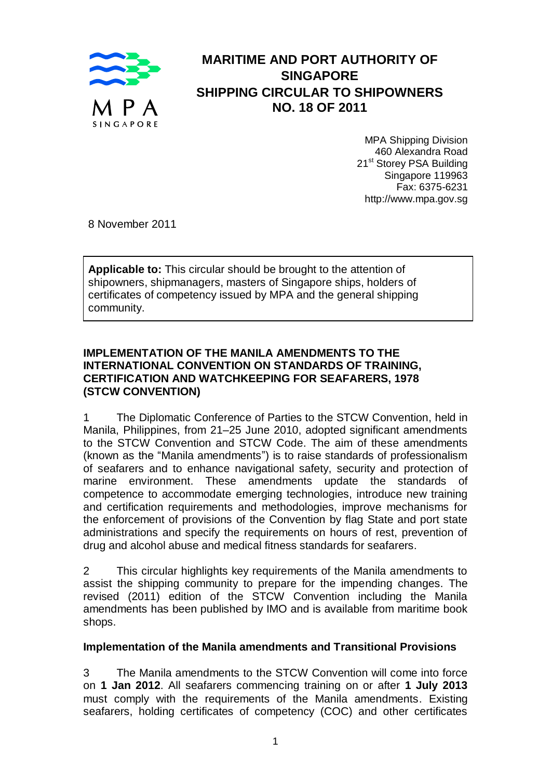

# **MARITIME AND PORT AUTHORITY OF SINGAPORE SHIPPING CIRCULAR TO SHIPOWNERS NO. 18 OF 2011**

MPA Shipping Division 460 Alexandra Road 21<sup>st</sup> Storey PSA Building Singapore 119963 Fax: 6375-6231 http://www.mpa.gov.sg

8 November 2011

**Applicable to:** This circular should be brought to the attention of shipowners, shipmanagers, masters of Singapore ships, holders of certificates of competency issued by MPA and the general shipping community.

#### **IMPLEMENTATION OF THE MANILA AMENDMENTS TO THE INTERNATIONAL CONVENTION ON STANDARDS OF TRAINING, CERTIFICATION AND WATCHKEEPING FOR SEAFARERS, 1978 (STCW CONVENTION)**

1 The Diplomatic Conference of Parties to the STCW Convention, held in Manila, Philippines, from 21–25 June 2010, adopted significant amendments to the STCW Convention and STCW Code. The aim of these amendments (known as the "Manila amendments") is to raise standards of professionalism of seafarers and to enhance navigational safety, security and protection of marine environment. These amendments update the standards of competence to accommodate emerging technologies, introduce new training and certification requirements and methodologies, improve mechanisms for the enforcement of provisions of the Convention by flag State and port state administrations and specify the requirements on hours of rest, prevention of drug and alcohol abuse and medical fitness standards for seafarers.

2 This circular highlights key requirements of the Manila amendments to assist the shipping community to prepare for the impending changes. The revised (2011) edition of the STCW Convention including the Manila amendments has been published by IMO and is available from maritime book shops.

# **Implementation of the Manila amendments and Transitional Provisions**

3 The Manila amendments to the STCW Convention will come into force on **1 Jan 2012**. All seafarers commencing training on or after **1 July 2013** must comply with the requirements of the Manila amendments. Existing seafarers, holding certificates of competency (COC) and other certificates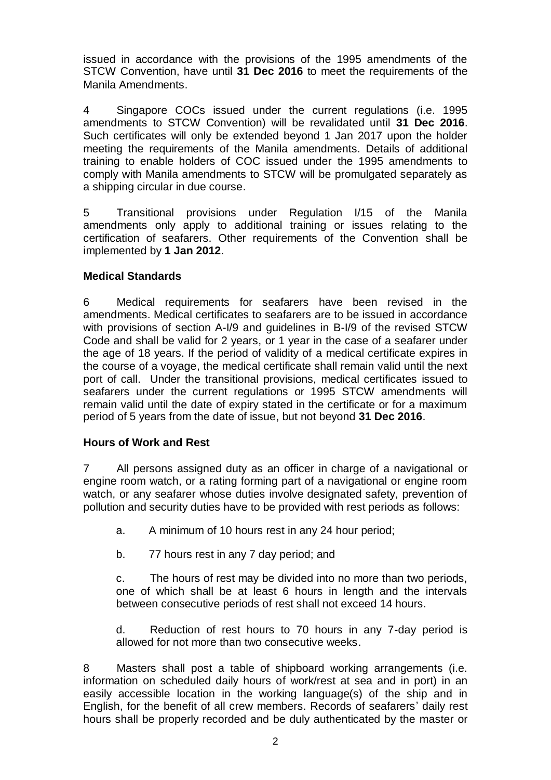issued in accordance with the provisions of the 1995 amendments of the STCW Convention, have until **31 Dec 2016** to meet the requirements of the Manila Amendments.

4 Singapore COCs issued under the current regulations (i.e. 1995 amendments to STCW Convention) will be revalidated until **31 Dec 2016**. Such certificates will only be extended beyond 1 Jan 2017 upon the holder meeting the requirements of the Manila amendments. Details of additional training to enable holders of COC issued under the 1995 amendments to comply with Manila amendments to STCW will be promulgated separately as a shipping circular in due course.

5 Transitional provisions under Regulation I/15 of the Manila amendments only apply to additional training or issues relating to the certification of seafarers. Other requirements of the Convention shall be implemented by **1 Jan 2012**.

# **Medical Standards**

6 Medical requirements for seafarers have been revised in the amendments. Medical certificates to seafarers are to be issued in accordance with provisions of section A-I/9 and guidelines in B-I/9 of the revised STCW Code and shall be valid for 2 years, or 1 year in the case of a seafarer under the age of 18 years. If the period of validity of a medical certificate expires in the course of a voyage, the medical certificate shall remain valid until the next port of call. Under the transitional provisions, medical certificates issued to seafarers under the current regulations or 1995 STCW amendments will remain valid until the date of expiry stated in the certificate or for a maximum period of 5 years from the date of issue, but not beyond **31 Dec 2016**.

#### **Hours of Work and Rest**

7 All persons assigned duty as an officer in charge of a navigational or engine room watch, or a rating forming part of a navigational or engine room watch, or any seafarer whose duties involve designated safety, prevention of pollution and security duties have to be provided with rest periods as follows:

a. A minimum of 10 hours rest in any 24 hour period;

b. 77 hours rest in any 7 day period; and

c. The hours of rest may be divided into no more than two periods, one of which shall be at least 6 hours in length and the intervals between consecutive periods of rest shall not exceed 14 hours.

d. Reduction of rest hours to 70 hours in any 7-day period is allowed for not more than two consecutive weeks.

8 Masters shall post a table of shipboard working arrangements (i.e. information on scheduled daily hours of work/rest at sea and in port) in an easily accessible location in the working language(s) of the ship and in English, for the benefit of all crew members. Records of seafarers' daily rest hours shall be properly recorded and be duly authenticated by the master or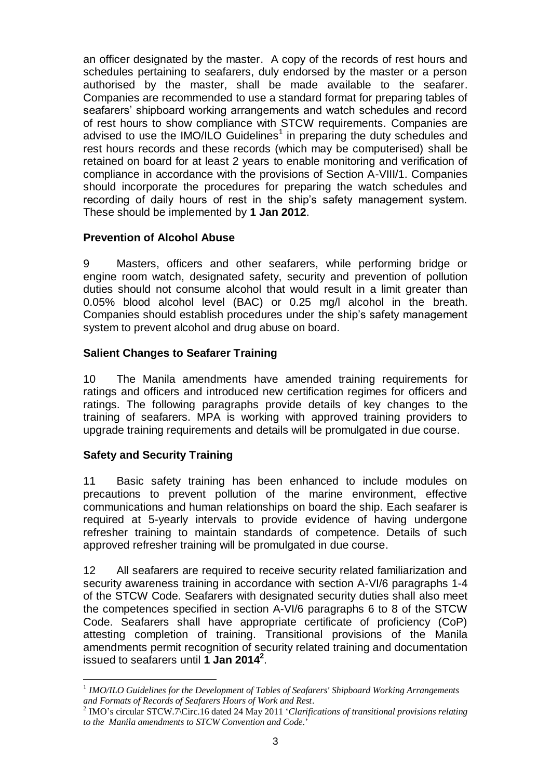an officer designated by the master. A copy of the records of rest hours and schedules pertaining to seafarers, duly endorsed by the master or a person authorised by the master, shall be made available to the seafarer. Companies are recommended to use a standard format for preparing tables of seafarers' shipboard working arrangements and watch schedules and record of rest hours to show compliance with STCW requirements. Companies are advised to use the IMO/ILO Guidelines<sup>1</sup> in preparing the duty schedules and rest hours records and these records (which may be computerised) shall be retained on board for at least 2 years to enable monitoring and verification of compliance in accordance with the provisions of Section A-VIII/1. Companies should incorporate the procedures for preparing the watch schedules and recording of daily hours of rest in the ship's safety management system. These should be implemented by **1 Jan 2012**.

# **Prevention of Alcohol Abuse**

9 Masters, officers and other seafarers, while performing bridge or engine room watch, designated safety, security and prevention of pollution duties should not consume alcohol that would result in a limit greater than 0.05% blood alcohol level (BAC) or 0.25 mg/l alcohol in the breath. Companies should establish procedures under the ship's safety management system to prevent alcohol and drug abuse on board.

# **Salient Changes to Seafarer Training**

10 The Manila amendments have amended training requirements for ratings and officers and introduced new certification regimes for officers and ratings. The following paragraphs provide details of key changes to the training of seafarers. MPA is working with approved training providers to upgrade training requirements and details will be promulgated in due course.

#### **Safety and Security Training**

1

11 Basic safety training has been enhanced to include modules on precautions to prevent pollution of the marine environment, effective communications and human relationships on board the ship. Each seafarer is required at 5-yearly intervals to provide evidence of having undergone refresher training to maintain standards of competence. Details of such approved refresher training will be promulgated in due course.

12 All seafarers are required to receive security related familiarization and security awareness training in accordance with section A-VI/6 paragraphs 1-4 of the STCW Code. Seafarers with designated security duties shall also meet the competences specified in section A-VI/6 paragraphs 6 to 8 of the STCW Code. Seafarers shall have appropriate certificate of proficiency (CoP) attesting completion of training. Transitional provisions of the Manila amendments permit recognition of security related training and documentation issued to seafarers until **1 Jan 2014<sup>2</sup>** .

<sup>&</sup>lt;sup>1</sup> IMO/ILO Guidelines for the Development of Tables of Seafarers' Shipboard Working Arrangements *and Formats of Records of Seafarers Hours of Work and Rest*.

<sup>2</sup> IMO's circular STCW.7\Circ.16 dated 24 May 2011 '*Clarifications of transitional provisions relating to the Manila amendments to STCW Convention and Code*.'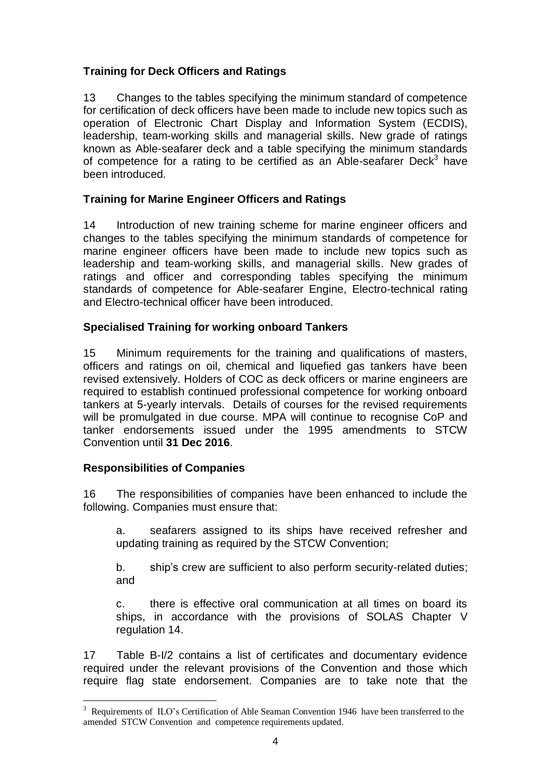# **Training for Deck Officers and Ratings**

13 Changes to the tables specifying the minimum standard of competence for certification of deck officers have been made to include new topics such as operation of Electronic Chart Display and Information System (ECDIS), leadership, team-working skills and managerial skills. New grade of ratings known as Able-seafarer deck and a table specifying the minimum standards of competence for a rating to be certified as an Able-seafarer Deck<sup>3</sup> have been introduced.

# **Training for Marine Engineer Officers and Ratings**

14 Introduction of new training scheme for marine engineer officers and changes to the tables specifying the minimum standards of competence for marine engineer officers have been made to include new topics such as leadership and team-working skills, and managerial skills. New grades of ratings and officer and corresponding tables specifying the minimum standards of competence for Able-seafarer Engine, Electro-technical rating and Electro-technical officer have been introduced.

# **Specialised Training for working onboard Tankers**

15 Minimum requirements for the training and qualifications of masters, officers and ratings on oil, chemical and liquefied gas tankers have been revised extensively. Holders of COC as deck officers or marine engineers are required to establish continued professional competence for working onboard tankers at 5-yearly intervals. Details of courses for the revised requirements will be promulgated in due course. MPA will continue to recognise CoP and tanker endorsements issued under the 1995 amendments to STCW Convention until **31 Dec 2016**.

# **Responsibilities of Companies**

1

16 The responsibilities of companies have been enhanced to include the following. Companies must ensure that:

a. seafarers assigned to its ships have received refresher and updating training as required by the STCW Convention;

b. ship's crew are sufficient to also perform security-related duties; and

c. there is effective oral communication at all times on board its ships, in accordance with the provisions of SOLAS Chapter V regulation 14.

17 Table B-I/2 contains a list of certificates and documentary evidence required under the relevant provisions of the Convention and those which require flag state endorsement. Companies are to take note that the

<sup>&</sup>lt;sup>3</sup> Requirements of ILO's Certification of Able Seaman Convention 1946 have been transferred to the amended STCW Convention and competence requirements updated.